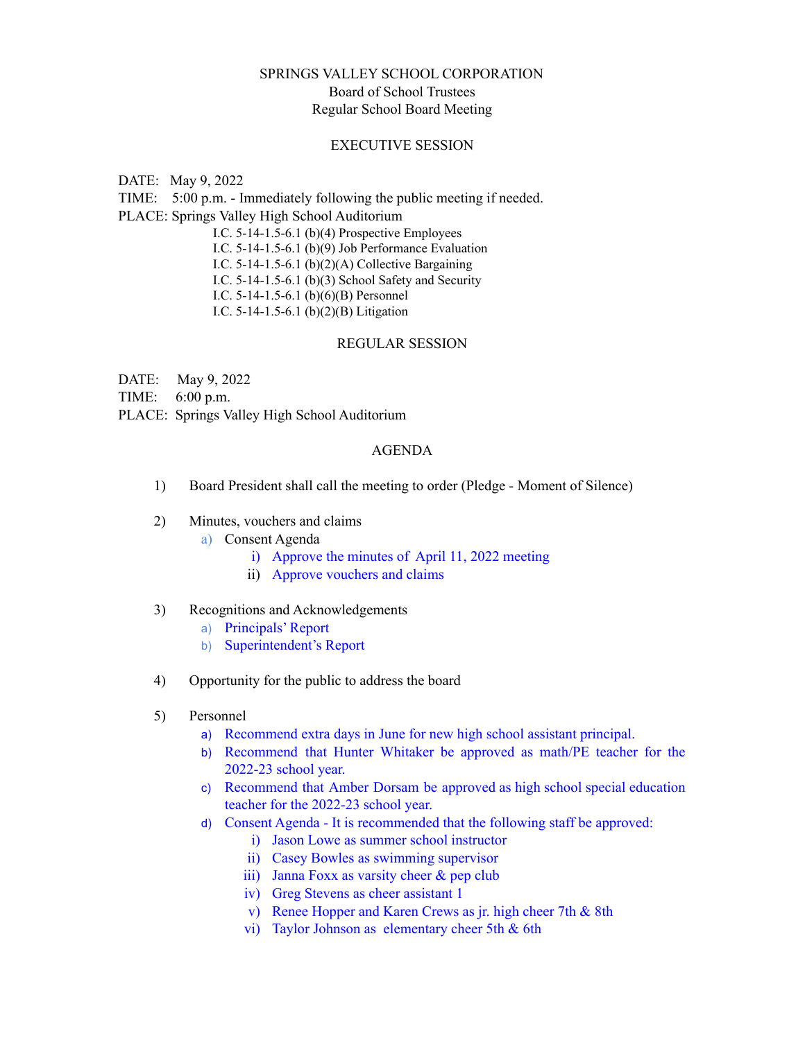# SPRINGS VALLEY SCHOOL CORPORATION Board of School Trustees Regular School Board Meeting

### EXECUTIVE SESSION

DATE: May 9, 2022

TIME: 5:00 p.m. - Immediately following the public meeting if needed.

PLACE: Springs Valley High School Auditorium

I.C. 5-14-1.5-6.1 (b)(4) Prospective Employees

I.C. 5-14-1.5-6.1 (b)(9) Job Performance Evaluation

I.C. 5-14-1.5-6.1 (b)(2)(A) Collective Bargaining

I.C. 5-14-1.5-6.1 (b)(3) School Safety and Security

I.C. 5-14-1.5-6.1 (b)(6)(B) Personnel

I.C. 5-14-1.5-6.1 (b)(2)(B) Litigation

#### REGULAR SESSION

DATE: May 9, 2022

TIME: 6:00 p.m.

PLACE: Springs Valley High School Auditorium

## AGENDA

- 1) Board President shall call the meeting to order (Pledge Moment of Silence)
- 2) Minutes, vouchers and claims
	- a) Consent Agenda
		- i) Approve the minutes of April 11, 2022 meeting
		- ii) Approve vouchers and claims

## 3) Recognitions and Acknowledgements

- a) Principals' Report
- b) Superintendent's Report
- 4) Opportunity for the public to address the board
- 5) Personnel
	- a) Recommend extra days in June for new high school assistant principal.
	- b) Recommend that Hunter Whitaker be approved as math/PE teacher for the 2022-23 school year.
	- c) Recommend that Amber Dorsam be approved as high school special education teacher for the 2022-23 school year.
	- d) Consent Agenda It is recommended that the following staff be approved:
		- i) Jason Lowe as summer school instructor
		- ii) Casey Bowles as swimming supervisor
		- iii) Janna Foxx as varsity cheer & pep club
		- iv) Greg Stevens as cheer assistant 1
		- v) Renee Hopper and Karen Crews as jr. high cheer 7th & 8th
		- vi) Taylor Johnson as elementary cheer 5th & 6th